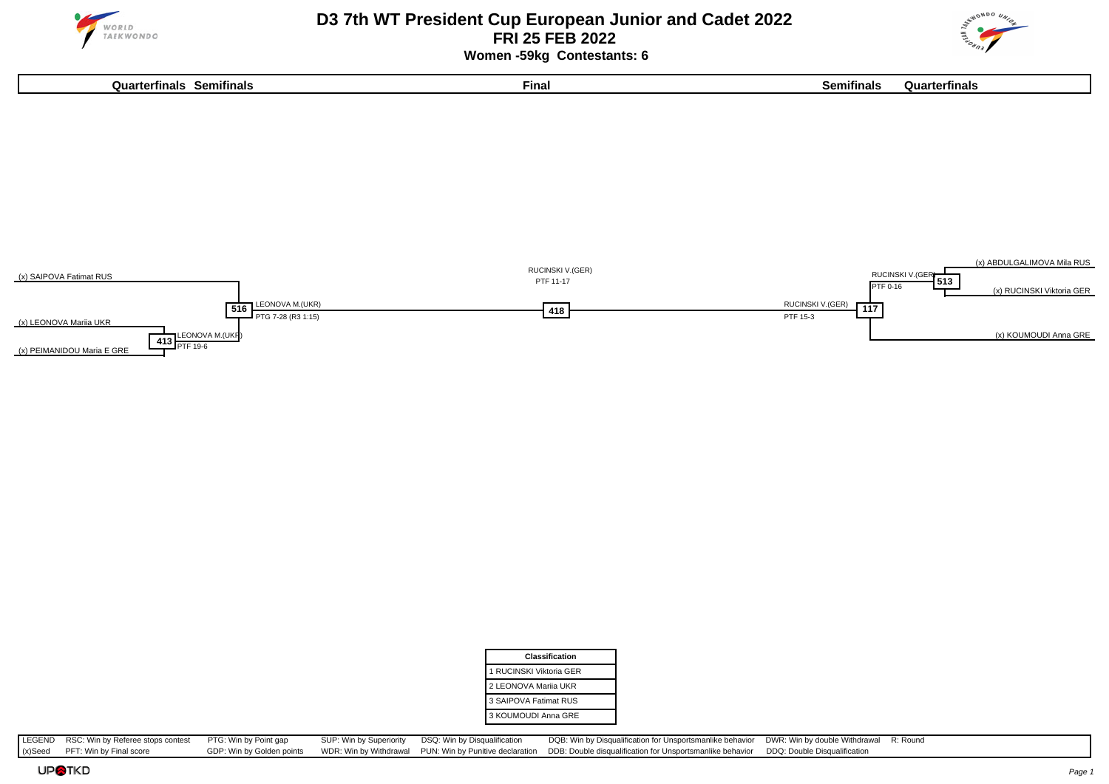



 **Women -59kg Contestants: 6**

**Quarterfinals Semifinals Final Semifinals Quarterfinals**



| Classification          |
|-------------------------|
| 1 RUCINSKI Viktoria GER |
| 2 LEONOVA Marija UKR    |
| 3 SAIPOVA Fatimat RUS   |
| 3 KOUMOUDI Anna GRE     |

LEGEND RSC: Win by Referee stops contest PTG: Win by Point gap SUP: Win by Superiority DSQ: Win by Disqualification DQB: Win by Disqualification or Unsportsmanlike behavior DWR: Win by double Withdrawal R: Round (x) Seed P  $(x)$ Seed PFT: Win by Final score GDP: Win by Golden points WDR: Win by Withdrawal PUN: Win by Punitive declaration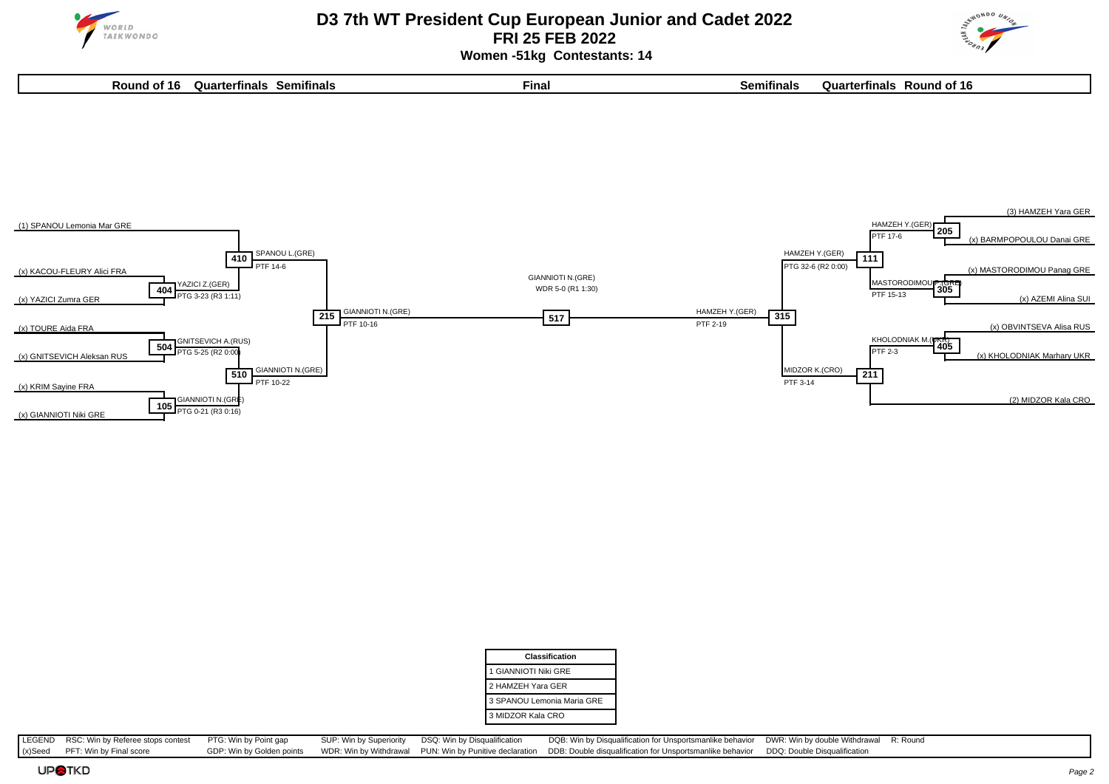



 **Women -51kg Contestants: 14**

| Round<br>16 | оп<br>rterfinals | Semitinals | --<br>Final | .<br>nıtına | 'terfinals<br>วแลเ<br><sup>-+</sup> 16<br><b>Roun</b> c<br>OТ |
|-------------|------------------|------------|-------------|-------------|---------------------------------------------------------------|
|             |                  |            |             |             |                                                               |



| <b>Classification</b>      |
|----------------------------|
| 1 GIANNIOTI Niki GRE       |
| 2 HAMZEH Yara GER          |
| 3 SPANOU Lemonia Maria GRE |
| 3 MIDZOR Kala CRO          |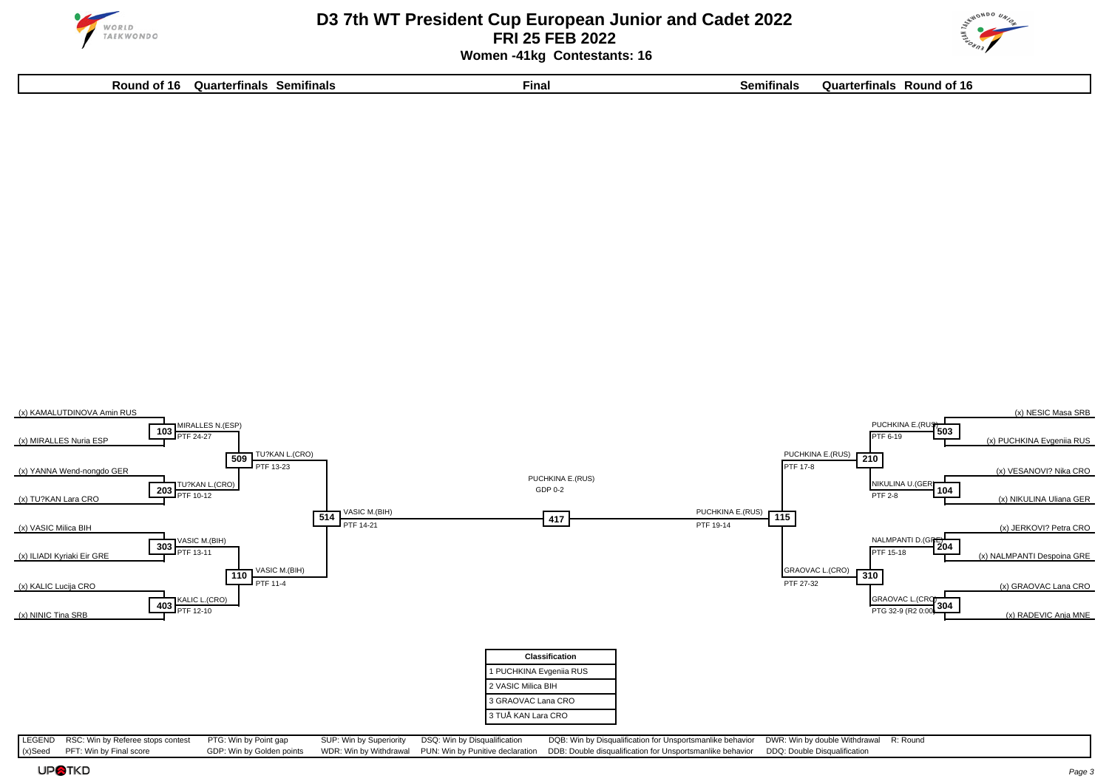

## **D3 7th WT President Cup European Junior and Cadet 2022 FRI 25 FEB 2022 Women -41kg Contestants: 16**



**Round of 16 Quarterfinals Semifinals Final Semifinals Quarterfinals Round of 16**

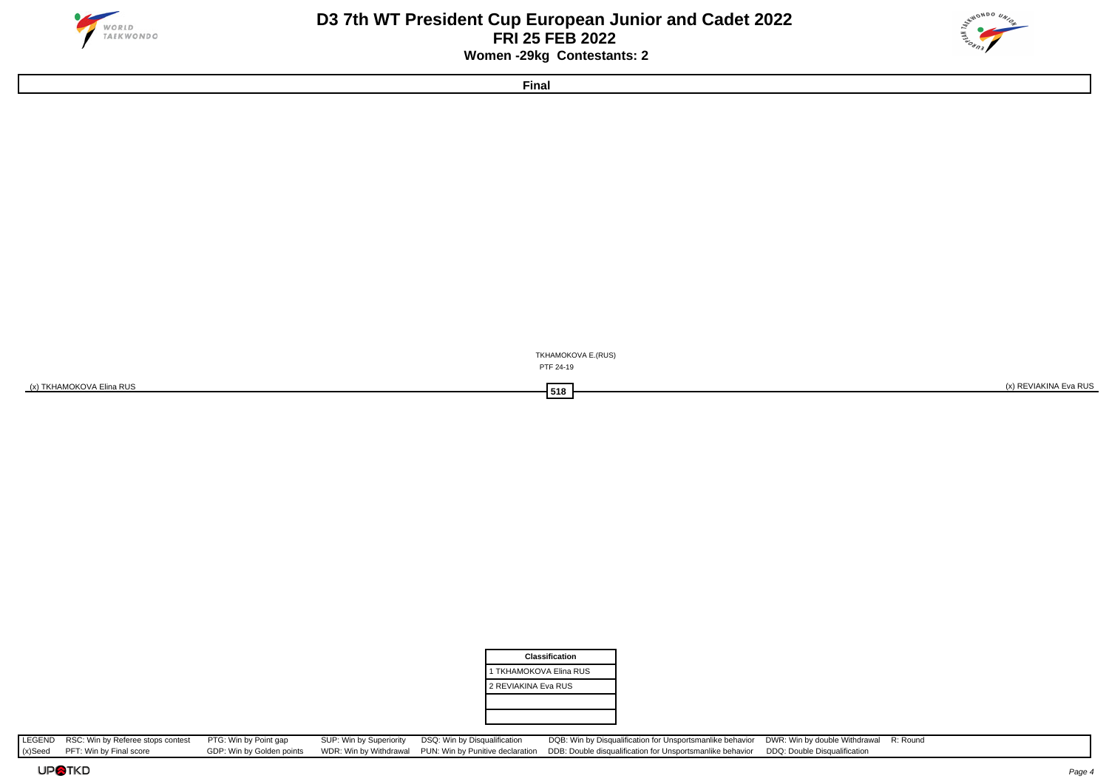

## **D3 7th WT President Cup European Junior and Cadet 2022 FRI 25 FEB 2022 Women -29kg Contestants: 2**



**Final**





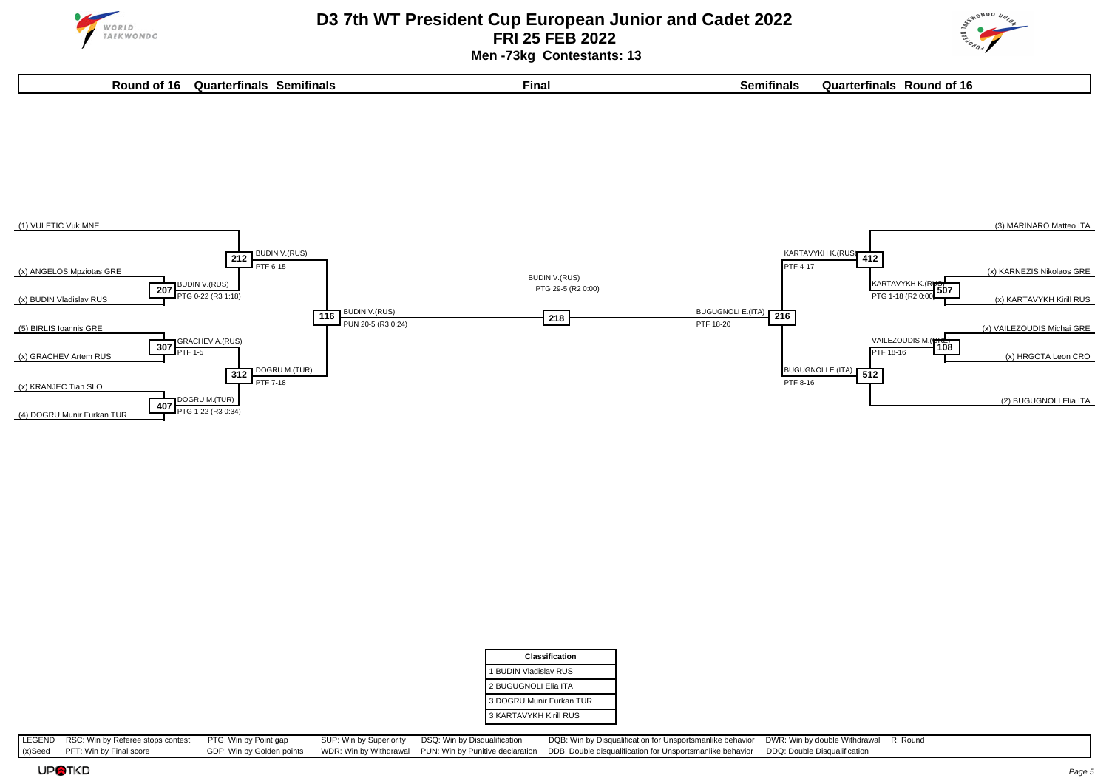

 **Men -73kg Contestants: 13**

**Round of 16 Quarterfinals Semifinals Final Semifinals Quarterfinals Round of 16**







| <b>Classification</b>    |  |
|--------------------------|--|
| 1 BUDIN Vladislav RUS    |  |
| 2 BUGUGNOLI Elia ITA     |  |
| 3 DOGRU Munir Furkan TUR |  |
| 3 KARTAVYKH Kirill RUS   |  |

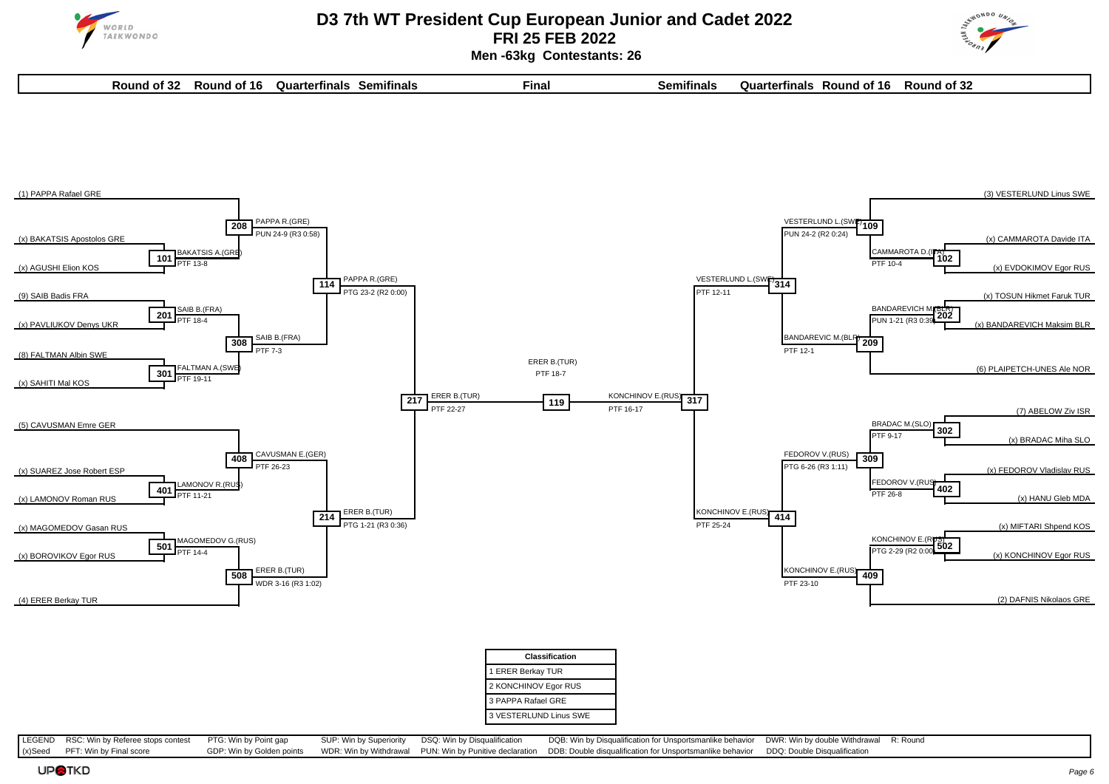



 **Men -63kg Contestants: 26**

| . .<br>Round of 32 | Round of 16 | Quarterfinals | Semifinals | $-$<br>Final | $\sim$<br>Semitinals | Quarterfinals | Round of 16 | Round of 32 |
|--------------------|-------------|---------------|------------|--------------|----------------------|---------------|-------------|-------------|
|                    |             |               |            |              |                      |               |             |             |



| <b>Classification</b>  |
|------------------------|
| 1 ERER Berkay TUR      |
| 2 KONCHINOV Egor RUS   |
| 3 PAPPA Rafael GRE     |
| 3 VESTERLUND Linus SWE |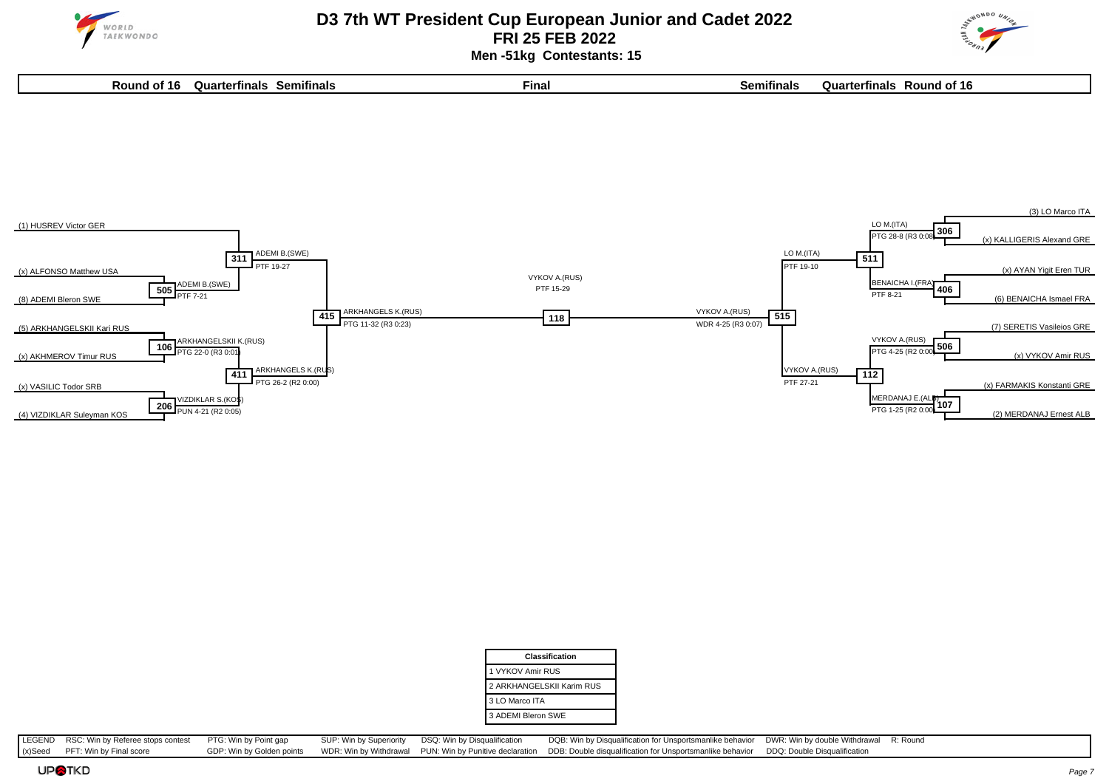

 **Men -51kg Contestants: 15**







| Classification            |
|---------------------------|
| 1 VYKOV Amir RUS          |
| 2 ARKHANGELSKII Karim RUS |
| 3 LO Marco ITA            |
| 3 ADEMI Bleron SWE        |